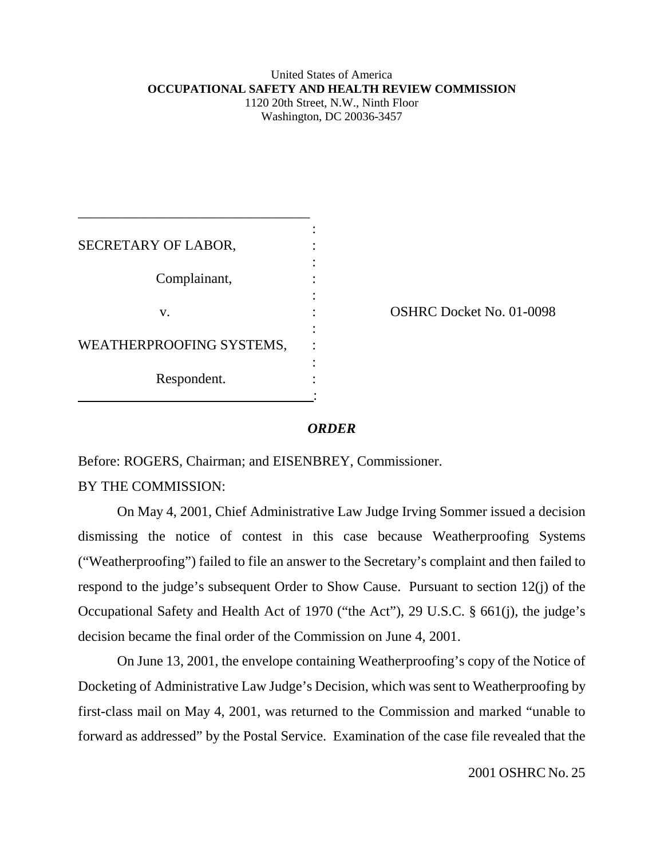## United States of America **OCCUPATIONAL SAFETY AND HEALTH REVIEW COMMISSION** 1120 20th Street, N.W., Ninth Floor

Washington, DC 20036-3457

| SECRETARY OF LABOR,      |  |
|--------------------------|--|
|                          |  |
| Complainant,             |  |
|                          |  |
| V.                       |  |
|                          |  |
| WEATHERPROOFING SYSTEMS, |  |
|                          |  |
| Respondent.              |  |
|                          |  |

\_\_\_\_\_\_\_\_\_\_\_\_\_\_\_\_\_\_\_\_\_\_\_\_\_\_\_\_\_\_\_\_\_

OSHRC Docket No. 01-0098

## *ORDER*

Before: ROGERS, Chairman; and EISENBREY, Commissioner.

BY THE COMMISSION:

On May 4, 2001, Chief Administrative Law Judge Irving Sommer issued a decision dismissing the notice of contest in this case because Weatherproofing Systems ("Weatherproofing") failed to file an answer to the Secretary's complaint and then failed to respond to the judge's subsequent Order to Show Cause. Pursuant to section 12(j) of the Occupational Safety and Health Act of 1970 ("the Act"), 29 U.S.C. § 661(j), the judge's decision became the final order of the Commission on June 4, 2001.

On June 13, 2001, the envelope containing Weatherproofing's copy of the Notice of Docketing of Administrative Law Judge's Decision, which was sent to Weatherproofing by first-class mail on May 4, 2001, was returned to the Commission and marked "unable to forward as addressed" by the Postal Service. Examination of the case file revealed that the

2001 OSHRC No. 25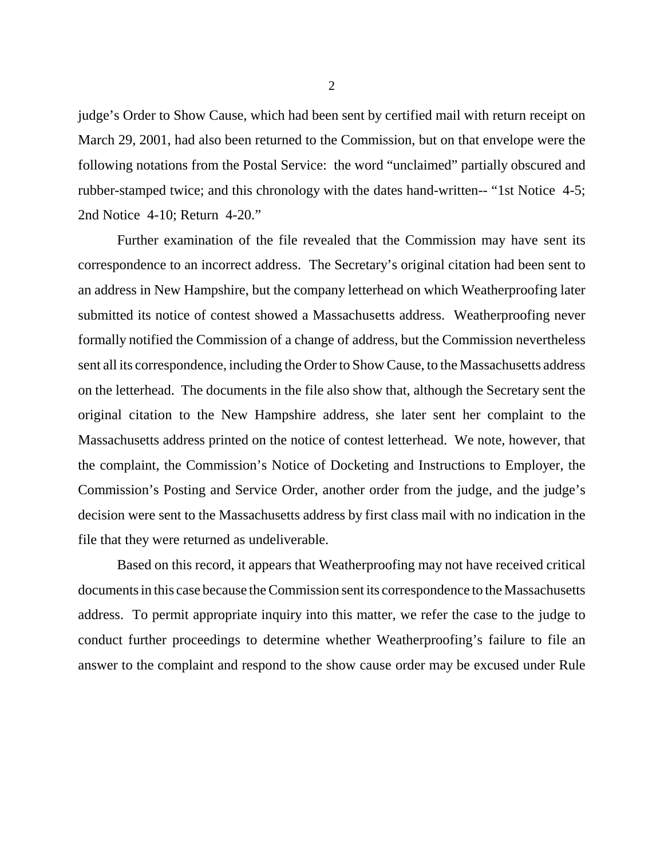judge's Order to Show Cause, which had been sent by certified mail with return receipt on March 29, 2001, had also been returned to the Commission, but on that envelope were the following notations from the Postal Service: the word "unclaimed" partially obscured and rubber-stamped twice; and this chronology with the dates hand-written-- "1st Notice 4-5; 2nd Notice 4-10; Return 4-20."

Further examination of the file revealed that the Commission may have sent its correspondence to an incorrect address. The Secretary's original citation had been sent to an address in New Hampshire, but the company letterhead on which Weatherproofing later submitted its notice of contest showed a Massachusetts address. Weatherproofing never formally notified the Commission of a change of address, but the Commission nevertheless sent all its correspondence, including the Order to Show Cause, to the Massachusetts address on the letterhead. The documents in the file also show that, although the Secretary sent the original citation to the New Hampshire address, she later sent her complaint to the Massachusetts address printed on the notice of contest letterhead. We note, however, that the complaint, the Commission's Notice of Docketing and Instructions to Employer, the Commission's Posting and Service Order, another order from the judge, and the judge's decision were sent to the Massachusetts address by first class mail with no indication in the file that they were returned as undeliverable.

Based on this record, it appears that Weatherproofing may not have received critical documents in this case because the Commission sent its correspondence to the Massachusetts address. To permit appropriate inquiry into this matter, we refer the case to the judge to conduct further proceedings to determine whether Weatherproofing's failure to file an answer to the complaint and respond to the show cause order may be excused under Rule